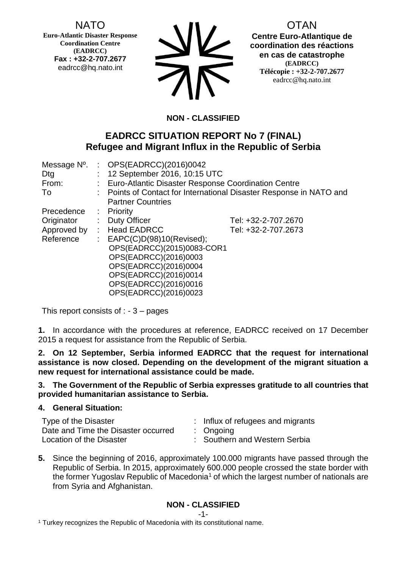NATO

**Euro-Atlantic Disaster Response Coordination Centre (EADRCC) Fax : +32-2-707.2677** eadrcc@hq.nato.int



OTAN **Centre Euro-Atlantique de coordination des réactions en cas de catastrophe (EADRCC) Télécopie : +32-2-707.2677** eadrcc@hq.nato.int

# **NON - CLASSIFIED**

# **EADRCC SITUATION REPORT No 7 (FINAL) Refugee and Migrant Influx in the Republic of Serbia**

| Message N°. | : $OPS(EADRCC)(2016)0042$                                           |                     |  |
|-------------|---------------------------------------------------------------------|---------------------|--|
| Dtg         | : 12 September 2016, 10:15 UTC                                      |                     |  |
| From:       | : Euro-Atlantic Disaster Response Coordination Centre               |                     |  |
| To          | : Points of Contact for International Disaster Response in NATO and |                     |  |
|             | <b>Partner Countries</b>                                            |                     |  |
| Precedence  | $:$ Priority                                                        |                     |  |
| Originator  | : Duty Officer                                                      | Tel: +32-2-707.2670 |  |
| Approved by | : Head EADRCC                                                       | Tel: +32-2-707.2673 |  |
| Reference   | : $EAPC(C)D(98)10(Revised);$                                        |                     |  |
|             | OPS(EADRCC)(2015)0083-COR1                                          |                     |  |
|             | OPS(EADRCC)(2016)0003                                               |                     |  |
|             | OPS(EADRCC)(2016)0004                                               |                     |  |
|             | OPS(EADRCC)(2016)0014                                               |                     |  |
|             | OPS(EADRCC)(2016)0016                                               |                     |  |
|             | OPS(EADRCC)(2016)0023                                               |                     |  |

This report consists of  $: -3 -$  pages

**1.** In accordance with the procedures at reference, EADRCC received on 17 December 2015 a request for assistance from the Republic of Serbia.

**2. On 12 September, Serbia informed EADRCC that the request for international assistance is now closed. Depending on the development of the migrant situation a new request for international assistance could be made.**

### **3. The Government of the Republic of Serbia expresses gratitude to all countries that provided humanitarian assistance to Serbia.**

## **4. General Situation:**

| Type of the Disaster                | : Influx of refugees and migrants |
|-------------------------------------|-----------------------------------|
| Date and Time the Disaster occurred | $:$ Ongoing                       |
| Location of the Disaster            | : Southern and Western Serbia     |

**5.** Since the beginning of 2016, approximately 100.000 migrants have passed through the Republic of Serbia. In 2015, approximately 600.000 people crossed the state border with the former Yugoslav Republic of Macedonia<sup>1</sup> of which the largest number of nationals are from Syria and Afghanistan.

# **NON - CLASSIFIED**

<sup>1</sup> Turkey recognizes the Republic of Macedonia with its constitutional name.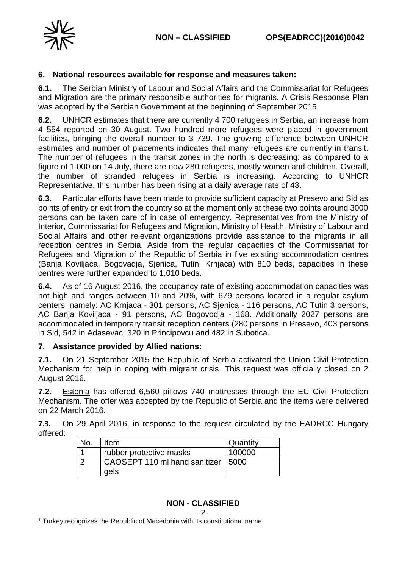

#### **6. National resources available for response and measures taken:**

**6.1.** The Serbian Ministry of Labour and Social Affairs and the Commissariat for Refugees and Migration are the primary responsible authorities for migrants. A Crisis Response Plan was adopted by the Serbian Government at the beginning of September 2015.

**6.2.** UNHCR estimates that there are currently 4 700 refugees in Serbia, an increase from 4 554 reported on 30 August. Two hundred more refugees were placed in government facilities, bringing the overall number to 3 739. The growing difference between UNHCR estimates and number of placements indicates that many refugees are currently in transit. The number of refugees in the transit zones in the north is decreasing: as compared to a figure of 1 000 on 14 July, there are now 280 refugees, mostly women and children. Overall, the number of stranded refugees in Serbia is increasing. According to UNHCR Representative, this number has been rising at a daily average rate of 43.

**6.3.** Particular efforts have been made to provide sufficient capacity at Presevo and Sid as points of entry or exit from the country so at the moment only at these two points around 3000 persons can be taken care of in case of emergency. Representatives from the Ministry of Interior, Commissariat for Refugees and Migration, Ministry of Health, Ministry of Labour and Social Affairs and other relevant organizations provide assistance to the migrants in all reception centres in Serbia. Aside from the regular capacities of the Commissariat for Refugees and Migration of the Republic of Serbia in five existing accommodation centres (Banja Koviljaca, Bogovadja, Sjenica, Tutin, Krnjaca) with 810 beds, capacities in these centres were further expanded to 1,010 beds.

**6.4.** As of 16 August 2016, the occupancy rate of existing accommodation capacities was not high and ranges between 10 and 20%, with 679 persons located in a regular asylum centers, namely: AC Krnjaca - 301 persons, AC Sjenica - 116 persons, AC Tutin 3 persons, AC Banja Koviljaca - 91 persons, AC Bogovodja - 168. Additionally 2027 persons are accommodated in temporary transit reception centers (280 persons in Presevo, 403 persons in Sid, 542 in Adasevac, 320 in Principovcu and 482 in Subotica.

## **7. Assistance provided by Allied nations:**

**7.1.** On 21 September 2015 the Republic of Serbia activated the Union Civil Protection Mechanism for help in coping with migrant crisis. This request was officially closed on 2 August 2016.

**7.2.** Estonia has offered 6,560 pillows 740 mattresses through the EU Civil Protection Mechanism. The offer was accepted by the Republic of Serbia and the items were delivered on 22 March 2016.

**7.3.** On 29 April 2016, in response to the request circulated by the EADRCC Hungary offered:

| No. | Item                                 | Quantity |
|-----|--------------------------------------|----------|
|     | rubber protective masks              | 100000   |
|     | CAOSEPT 110 ml hand sanitizer   5000 |          |
|     | gels                                 |          |

## **NON - CLASSIFIED**

-2-

<sup>1</sup> Turkey recognizes the Republic of Macedonia with its constitutional name.